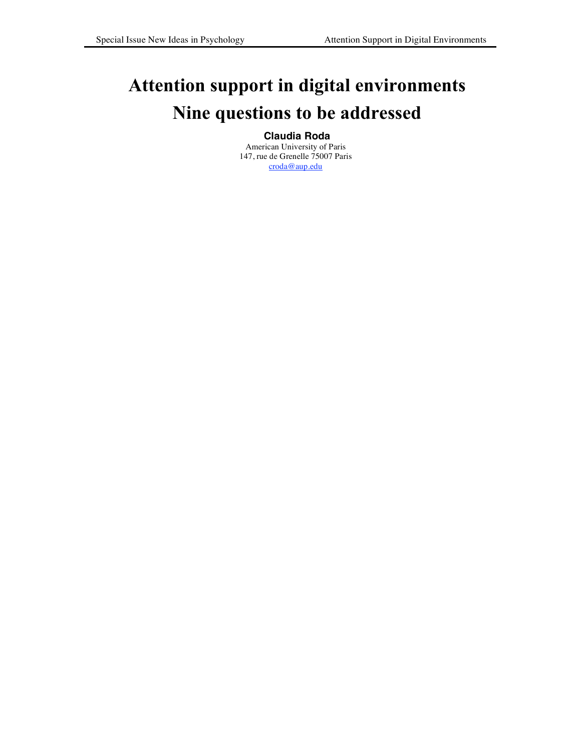# **Attention support in digital environments Nine questions to be addressed**

# **Claudia Roda**

American University of Paris 147, rue de Grenelle 75007 Paris croda@aup.edu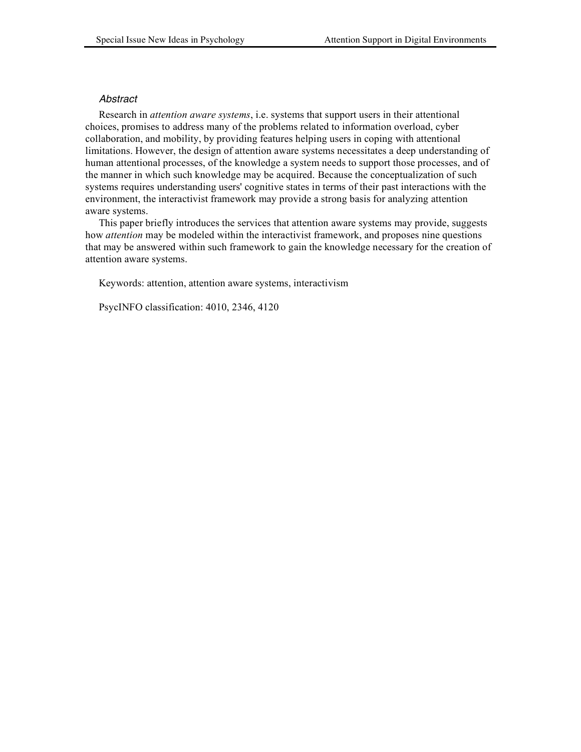## *Abstract*

Research in *attention aware systems*, i.e. systems that support users in their attentional choices, promises to address many of the problems related to information overload, cyber collaboration, and mobility, by providing features helping users in coping with attentional limitations. However, the design of attention aware systems necessitates a deep understanding of human attentional processes, of the knowledge a system needs to support those processes, and of the manner in which such knowledge may be acquired. Because the conceptualization of such systems requires understanding users' cognitive states in terms of their past interactions with the environment, the interactivist framework may provide a strong basis for analyzing attention aware systems.

This paper briefly introduces the services that attention aware systems may provide, suggests how *attention* may be modeled within the interactivist framework, and proposes nine questions that may be answered within such framework to gain the knowledge necessary for the creation of attention aware systems.

Keywords: attention, attention aware systems, interactivism

PsycINFO classification: 4010, 2346, 4120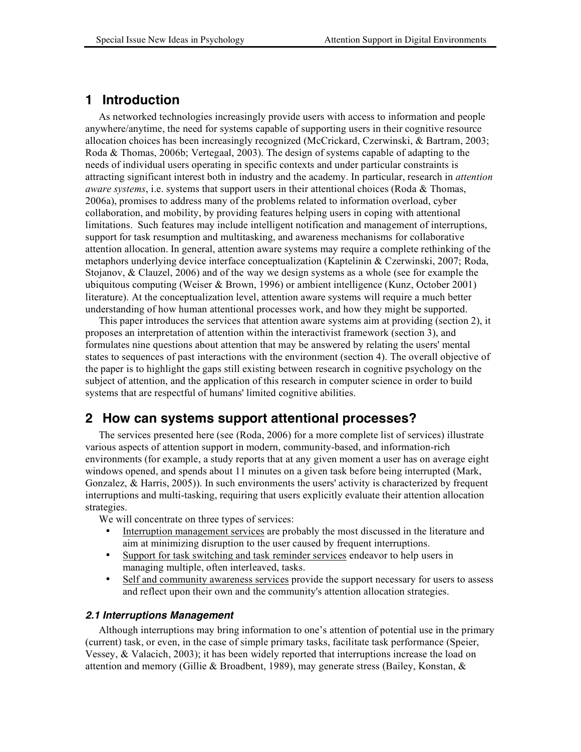# **1 Introduction**

As networked technologies increasingly provide users with access to information and people anywhere/anytime, the need for systems capable of supporting users in their cognitive resource allocation choices has been increasingly recognized (McCrickard, Czerwinski, & Bartram, 2003; Roda & Thomas, 2006b; Vertegaal, 2003). The design of systems capable of adapting to the needs of individual users operating in specific contexts and under particular constraints is attracting significant interest both in industry and the academy. In particular, research in *attention aware systems*, i.e. systems that support users in their attentional choices (Roda & Thomas, 2006a), promises to address many of the problems related to information overload, cyber collaboration, and mobility, by providing features helping users in coping with attentional limitations. Such features may include intelligent notification and management of interruptions, support for task resumption and multitasking, and awareness mechanisms for collaborative attention allocation. In general, attention aware systems may require a complete rethinking of the metaphors underlying device interface conceptualization (Kaptelinin & Czerwinski, 2007; Roda, Stojanov, & Clauzel, 2006) and of the way we design systems as a whole (see for example the ubiquitous computing (Weiser & Brown, 1996) or ambient intelligence (Kunz, October 2001) literature). At the conceptualization level, attention aware systems will require a much better understanding of how human attentional processes work, and how they might be supported.

This paper introduces the services that attention aware systems aim at providing (section 2), it proposes an interpretation of attention within the interactivist framework (section 3), and formulates nine questions about attention that may be answered by relating the users' mental states to sequences of past interactions with the environment (section 4). The overall objective of the paper is to highlight the gaps still existing between research in cognitive psychology on the subject of attention, and the application of this research in computer science in order to build systems that are respectful of humans' limited cognitive abilities.

# **2 How can systems support attentional processes?**

The services presented here (see (Roda, 2006) for a more complete list of services) illustrate various aspects of attention support in modern, community-based, and information-rich environments (for example, a study reports that at any given moment a user has on average eight windows opened, and spends about 11 minutes on a given task before being interrupted (Mark, Gonzalez, & Harris, 2005)). In such environments the users' activity is characterized by frequent interruptions and multi-tasking, requiring that users explicitly evaluate their attention allocation strategies.

We will concentrate on three types of services:

- Interruption management services are probably the most discussed in the literature and aim at minimizing disruption to the user caused by frequent interruptions.
- Support for task switching and task reminder services endeavor to help users in managing multiple, often interleaved, tasks.
- Self and community awareness services provide the support necessary for users to assess and reflect upon their own and the community's attention allocation strategies.

#### *2.1 Interruptions Management*

Although interruptions may bring information to one's attention of potential use in the primary (current) task, or even, in the case of simple primary tasks, facilitate task performance (Speier, Vessey, & Valacich, 2003); it has been widely reported that interruptions increase the load on attention and memory (Gillie & Broadbent, 1989), may generate stress (Bailey, Konstan, &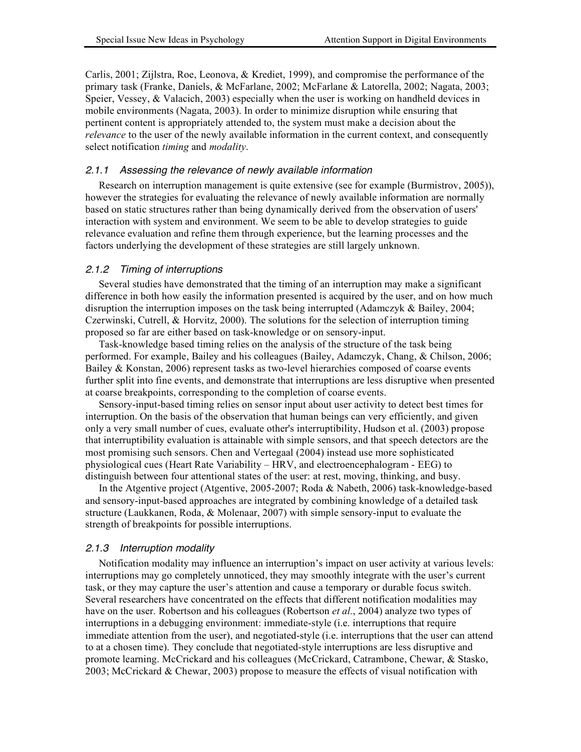Carlis, 2001; Zijlstra, Roe, Leonova, & Krediet, 1999), and compromise the performance of the primary task (Franke, Daniels, & McFarlane, 2002; McFarlane & Latorella, 2002; Nagata, 2003; Speier, Vessey, & Valacich, 2003) especially when the user is working on handheld devices in mobile environments (Nagata, 2003). In order to minimize disruption while ensuring that pertinent content is appropriately attended to, the system must make a decision about the *relevance* to the user of the newly available information in the current context, and consequently select notification *timing* and *modality*.

#### *2.1.1 Assessing the relevance of newly available information*

Research on interruption management is quite extensive (see for example (Burmistrov, 2005)), however the strategies for evaluating the relevance of newly available information are normally based on static structures rather than being dynamically derived from the observation of users' interaction with system and environment. We seem to be able to develop strategies to guide relevance evaluation and refine them through experience, but the learning processes and the factors underlying the development of these strategies are still largely unknown.

#### *2.1.2 Timing of interruptions*

Several studies have demonstrated that the timing of an interruption may make a significant difference in both how easily the information presented is acquired by the user, and on how much disruption the interruption imposes on the task being interrupted (Adamczyk & Bailey, 2004; Czerwinski, Cutrell, & Horvitz, 2000). The solutions for the selection of interruption timing proposed so far are either based on task-knowledge or on sensory-input.

Task-knowledge based timing relies on the analysis of the structure of the task being performed. For example, Bailey and his colleagues (Bailey, Adamczyk, Chang, & Chilson, 2006; Bailey & Konstan, 2006) represent tasks as two-level hierarchies composed of coarse events further split into fine events, and demonstrate that interruptions are less disruptive when presented at coarse breakpoints, corresponding to the completion of coarse events.

Sensory-input-based timing relies on sensor input about user activity to detect best times for interruption. On the basis of the observation that human beings can very efficiently, and given only a very small number of cues, evaluate other's interruptibility, Hudson et al. (2003) propose that interruptibility evaluation is attainable with simple sensors, and that speech detectors are the most promising such sensors. Chen and Vertegaal (2004) instead use more sophisticated physiological cues (Heart Rate Variability – HRV, and electroencephalogram - EEG) to distinguish between four attentional states of the user: at rest, moving, thinking, and busy.

In the Atgentive project (Atgentive, 2005-2007; Roda & Nabeth, 2006) task-knowledge-based and sensory-input-based approaches are integrated by combining knowledge of a detailed task structure (Laukkanen, Roda, & Molenaar, 2007) with simple sensory-input to evaluate the strength of breakpoints for possible interruptions.

#### *2.1.3 Interruption modality*

Notification modality may influence an interruption's impact on user activity at various levels: interruptions may go completely unnoticed, they may smoothly integrate with the user's current task, or they may capture the user's attention and cause a temporary or durable focus switch. Several researchers have concentrated on the effects that different notification modalities may have on the user. Robertson and his colleagues (Robertson *et al.*, 2004) analyze two types of interruptions in a debugging environment: immediate-style (i.e. interruptions that require immediate attention from the user), and negotiated-style (i.e. interruptions that the user can attend to at a chosen time). They conclude that negotiated-style interruptions are less disruptive and promote learning. McCrickard and his colleagues (McCrickard, Catrambone, Chewar, & Stasko, 2003; McCrickard & Chewar, 2003) propose to measure the effects of visual notification with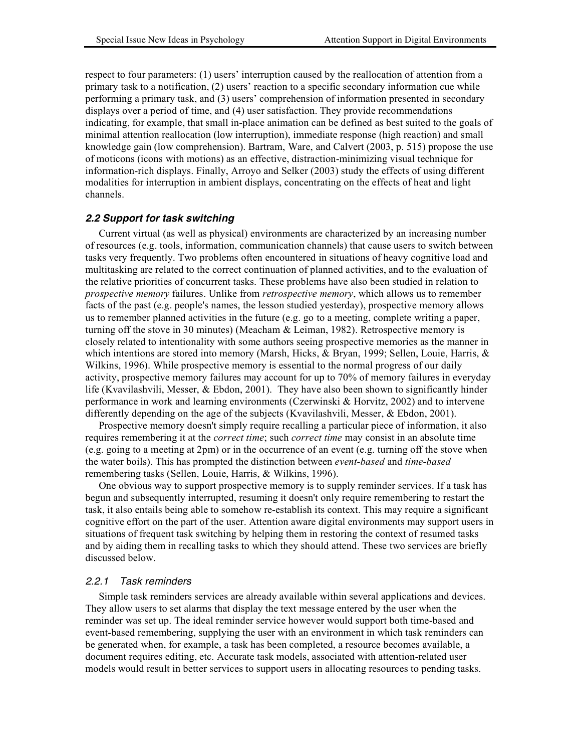respect to four parameters: (1) users' interruption caused by the reallocation of attention from a primary task to a notification, (2) users' reaction to a specific secondary information cue while performing a primary task, and (3) users' comprehension of information presented in secondary displays over a period of time, and (4) user satisfaction. They provide recommendations indicating, for example, that small in-place animation can be defined as best suited to the goals of minimal attention reallocation (low interruption), immediate response (high reaction) and small knowledge gain (low comprehension). Bartram, Ware, and Calvert (2003, p. 515) propose the use of moticons (icons with motions) as an effective, distraction-minimizing visual technique for information-rich displays. Finally, Arroyo and Selker (2003) study the effects of using different modalities for interruption in ambient displays, concentrating on the effects of heat and light channels.

# *2.2 Support for task switching*

Current virtual (as well as physical) environments are characterized by an increasing number of resources (e.g. tools, information, communication channels) that cause users to switch between tasks very frequently. Two problems often encountered in situations of heavy cognitive load and multitasking are related to the correct continuation of planned activities, and to the evaluation of the relative priorities of concurrent tasks. These problems have also been studied in relation to *prospective memory* failures. Unlike from *retrospective memory*, which allows us to remember facts of the past (e.g. people's names, the lesson studied yesterday), prospective memory allows us to remember planned activities in the future (e.g. go to a meeting, complete writing a paper, turning off the stove in 30 minutes) (Meacham & Leiman, 1982). Retrospective memory is closely related to intentionality with some authors seeing prospective memories as the manner in which intentions are stored into memory (Marsh, Hicks, & Bryan, 1999; Sellen, Louie, Harris, & Wilkins, 1996). While prospective memory is essential to the normal progress of our daily activity, prospective memory failures may account for up to 70% of memory failures in everyday life (Kvavilashvili, Messer, & Ebdon, 2001). They have also been shown to significantly hinder performance in work and learning environments (Czerwinski & Horvitz, 2002) and to intervene differently depending on the age of the subjects (Kvavilashvili, Messer, & Ebdon, 2001).

Prospective memory doesn't simply require recalling a particular piece of information, it also requires remembering it at the *correct time*; such *correct time* may consist in an absolute time (e.g. going to a meeting at 2pm) or in the occurrence of an event (e.g. turning off the stove when the water boils). This has prompted the distinction between *event-based* and *time-based* remembering tasks (Sellen, Louie, Harris, & Wilkins, 1996).

One obvious way to support prospective memory is to supply reminder services. If a task has begun and subsequently interrupted, resuming it doesn't only require remembering to restart the task, it also entails being able to somehow re-establish its context. This may require a significant cognitive effort on the part of the user. Attention aware digital environments may support users in situations of frequent task switching by helping them in restoring the context of resumed tasks and by aiding them in recalling tasks to which they should attend. These two services are briefly discussed below.

#### *2.2.1 Task reminders*

Simple task reminders services are already available within several applications and devices. They allow users to set alarms that display the text message entered by the user when the reminder was set up. The ideal reminder service however would support both time-based and event-based remembering, supplying the user with an environment in which task reminders can be generated when, for example, a task has been completed, a resource becomes available, a document requires editing, etc. Accurate task models, associated with attention-related user models would result in better services to support users in allocating resources to pending tasks.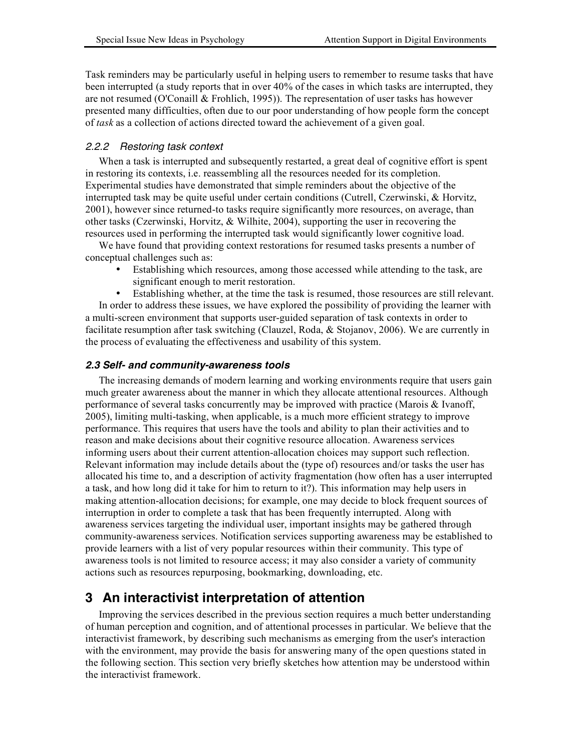Task reminders may be particularly useful in helping users to remember to resume tasks that have been interrupted (a study reports that in over 40% of the cases in which tasks are interrupted, they are not resumed (O'Conaill  $&$  Frohlich, 1995)). The representation of user tasks has however presented many difficulties, often due to our poor understanding of how people form the concept of *task* as a collection of actions directed toward the achievement of a given goal.

# *2.2.2 Restoring task context*

When a task is interrupted and subsequently restarted, a great deal of cognitive effort is spent in restoring its contexts, i.e. reassembling all the resources needed for its completion. Experimental studies have demonstrated that simple reminders about the objective of the interrupted task may be quite useful under certain conditions (Cutrell, Czerwinski, & Horvitz, 2001), however since returned-to tasks require significantly more resources, on average, than other tasks (Czerwinski, Horvitz, & Wilhite, 2004), supporting the user in recovering the resources used in performing the interrupted task would significantly lower cognitive load.

We have found that providing context restorations for resumed tasks presents a number of conceptual challenges such as:

- Establishing which resources, among those accessed while attending to the task, are significant enough to merit restoration.
- Establishing whether, at the time the task is resumed, those resources are still relevant.

In order to address these issues, we have explored the possibility of providing the learner with a multi-screen environment that supports user-guided separation of task contexts in order to facilitate resumption after task switching (Clauzel, Roda, & Stojanov, 2006). We are currently in the process of evaluating the effectiveness and usability of this system.

# *2.3 Self- and community-awareness tools*

The increasing demands of modern learning and working environments require that users gain much greater awareness about the manner in which they allocate attentional resources. Although performance of several tasks concurrently may be improved with practice (Marois & Ivanoff, 2005), limiting multi-tasking, when applicable, is a much more efficient strategy to improve performance. This requires that users have the tools and ability to plan their activities and to reason and make decisions about their cognitive resource allocation. Awareness services informing users about their current attention-allocation choices may support such reflection. Relevant information may include details about the (type of) resources and/or tasks the user has allocated his time to, and a description of activity fragmentation (how often has a user interrupted a task, and how long did it take for him to return to it?). This information may help users in making attention-allocation decisions; for example, one may decide to block frequent sources of interruption in order to complete a task that has been frequently interrupted. Along with awareness services targeting the individual user, important insights may be gathered through community-awareness services. Notification services supporting awareness may be established to provide learners with a list of very popular resources within their community. This type of awareness tools is not limited to resource access; it may also consider a variety of community actions such as resources repurposing, bookmarking, downloading, etc.

# **3 An interactivist interpretation of attention**

Improving the services described in the previous section requires a much better understanding of human perception and cognition, and of attentional processes in particular. We believe that the interactivist framework, by describing such mechanisms as emerging from the user's interaction with the environment, may provide the basis for answering many of the open questions stated in the following section. This section very briefly sketches how attention may be understood within the interactivist framework.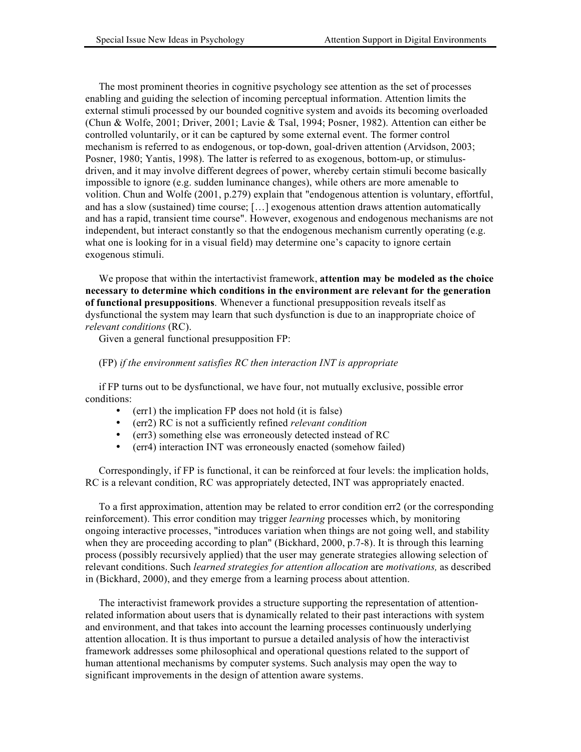The most prominent theories in cognitive psychology see attention as the set of processes enabling and guiding the selection of incoming perceptual information. Attention limits the external stimuli processed by our bounded cognitive system and avoids its becoming overloaded (Chun & Wolfe, 2001; Driver, 2001; Lavie & Tsal, 1994; Posner, 1982). Attention can either be controlled voluntarily, or it can be captured by some external event. The former control mechanism is referred to as endogenous, or top-down, goal-driven attention (Arvidson, 2003; Posner, 1980; Yantis, 1998). The latter is referred to as exogenous, bottom-up, or stimulusdriven, and it may involve different degrees of power, whereby certain stimuli become basically impossible to ignore (e.g. sudden luminance changes), while others are more amenable to volition. Chun and Wolfe (2001, p.279) explain that "endogenous attention is voluntary, effortful, and has a slow (sustained) time course; […] exogenous attention draws attention automatically and has a rapid, transient time course". However, exogenous and endogenous mechanisms are not independent, but interact constantly so that the endogenous mechanism currently operating (e.g. what one is looking for in a visual field) may determine one's capacity to ignore certain exogenous stimuli.

We propose that within the intertactivist framework, **attention may be modeled as the choice necessary to determine which conditions in the environment are relevant for the generation of functional presuppositions**. Whenever a functional presupposition reveals itself as dysfunctional the system may learn that such dysfunction is due to an inappropriate choice of *relevant conditions* (RC).

Given a general functional presupposition FP:

#### (FP) *if the environment satisfies RC then interaction INT is appropriate*

if FP turns out to be dysfunctional, we have four, not mutually exclusive, possible error conditions:

- $(err1)$  the implication FP does not hold (it is false)
- (err2) RC is not a sufficiently refined *relevant condition*
- (err3) something else was erroneously detected instead of RC
- (err4) interaction INT was erroneously enacted (somehow failed)

Correspondingly, if FP is functional, it can be reinforced at four levels: the implication holds, RC is a relevant condition, RC was appropriately detected, INT was appropriately enacted.

To a first approximation, attention may be related to error condition err2 (or the corresponding reinforcement). This error condition may trigger *learning* processes which, by monitoring ongoing interactive processes, "introduces variation when things are not going well, and stability when they are proceeding according to plan" (Bickhard, 2000, p.7-8). It is through this learning process (possibly recursively applied) that the user may generate strategies allowing selection of relevant conditions. Such *learned strategies for attention allocation* are *motivations,* as described in (Bickhard, 2000), and they emerge from a learning process about attention.

The interactivist framework provides a structure supporting the representation of attentionrelated information about users that is dynamically related to their past interactions with system and environment, and that takes into account the learning processes continuously underlying attention allocation. It is thus important to pursue a detailed analysis of how the interactivist framework addresses some philosophical and operational questions related to the support of human attentional mechanisms by computer systems. Such analysis may open the way to significant improvements in the design of attention aware systems.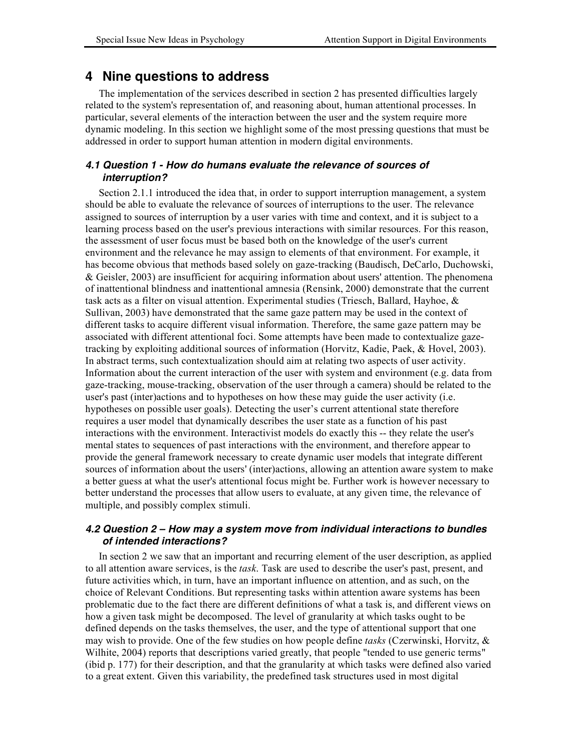# **4 Nine questions to address**

The implementation of the services described in section 2 has presented difficulties largely related to the system's representation of, and reasoning about, human attentional processes. In particular, several elements of the interaction between the user and the system require more dynamic modeling. In this section we highlight some of the most pressing questions that must be addressed in order to support human attention in modern digital environments.

## *4.1 Question 1 - How do humans evaluate the relevance of sources of interruption?*

Section 2.1.1 introduced the idea that, in order to support interruption management, a system should be able to evaluate the relevance of sources of interruptions to the user. The relevance assigned to sources of interruption by a user varies with time and context, and it is subject to a learning process based on the user's previous interactions with similar resources. For this reason, the assessment of user focus must be based both on the knowledge of the user's current environment and the relevance he may assign to elements of that environment. For example, it has become obvious that methods based solely on gaze-tracking (Baudisch, DeCarlo, Duchowski, & Geisler, 2003) are insufficient for acquiring information about users' attention. The phenomena of inattentional blindness and inattentional amnesia (Rensink, 2000) demonstrate that the current task acts as a filter on visual attention. Experimental studies (Triesch, Ballard, Hayhoe, & Sullivan, 2003) have demonstrated that the same gaze pattern may be used in the context of different tasks to acquire different visual information. Therefore, the same gaze pattern may be associated with different attentional foci. Some attempts have been made to contextualize gazetracking by exploiting additional sources of information (Horvitz, Kadie, Paek, & Hovel, 2003). In abstract terms, such contextualization should aim at relating two aspects of user activity. Information about the current interaction of the user with system and environment (e.g. data from gaze-tracking, mouse-tracking, observation of the user through a camera) should be related to the user's past (inter)actions and to hypotheses on how these may guide the user activity (i.e. hypotheses on possible user goals). Detecting the user's current attentional state therefore requires a user model that dynamically describes the user state as a function of his past interactions with the environment. Interactivist models do exactly this -- they relate the user's mental states to sequences of past interactions with the environment, and therefore appear to provide the general framework necessary to create dynamic user models that integrate different sources of information about the users' (inter)actions, allowing an attention aware system to make a better guess at what the user's attentional focus might be. Further work is however necessary to better understand the processes that allow users to evaluate, at any given time, the relevance of multiple, and possibly complex stimuli.

## *4.2 Question 2 – How may a system move from individual interactions to bundles of intended interactions?*

In section 2 we saw that an important and recurring element of the user description, as applied to all attention aware services, is the *task*. Task are used to describe the user's past, present, and future activities which, in turn, have an important influence on attention, and as such, on the choice of Relevant Conditions. But representing tasks within attention aware systems has been problematic due to the fact there are different definitions of what a task is, and different views on how a given task might be decomposed. The level of granularity at which tasks ought to be defined depends on the tasks themselves, the user, and the type of attentional support that one may wish to provide. One of the few studies on how people define *tasks* (Czerwinski, Horvitz, & Wilhite, 2004) reports that descriptions varied greatly, that people "tended to use generic terms" (ibid p. 177) for their description, and that the granularity at which tasks were defined also varied to a great extent. Given this variability, the predefined task structures used in most digital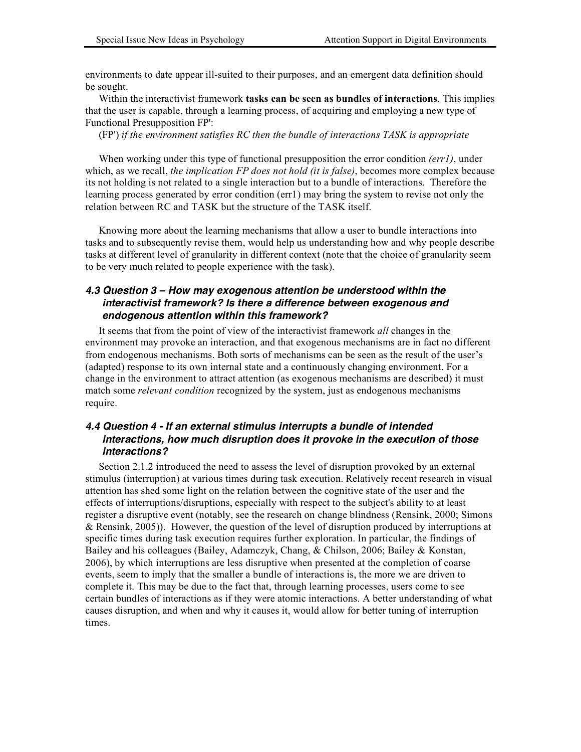environments to date appear ill-suited to their purposes, and an emergent data definition should be sought.

Within the interactivist framework **tasks can be seen as bundles of interactions**. This implies that the user is capable, through a learning process, of acquiring and employing a new type of Functional Presupposition FP':

(FP') *if the environment satisfies RC then the bundle of interactions TASK is appropriate*

When working under this type of functional presupposition the error condition *(err1)*, under which, as we recall, *the implication FP does not hold (it is false)*, becomes more complex because its not holding is not related to a single interaction but to a bundle of interactions. Therefore the learning process generated by error condition (err1) may bring the system to revise not only the relation between RC and TASK but the structure of the TASK itself.

Knowing more about the learning mechanisms that allow a user to bundle interactions into tasks and to subsequently revise them, would help us understanding how and why people describe tasks at different level of granularity in different context (note that the choice of granularity seem to be very much related to people experience with the task).

## *4.3 Question 3 – How may exogenous attention be understood within the interactivist framework? Is there a difference between exogenous and endogenous attention within this framework?*

It seems that from the point of view of the interactivist framework *all* changes in the environment may provoke an interaction, and that exogenous mechanisms are in fact no different from endogenous mechanisms. Both sorts of mechanisms can be seen as the result of the user's (adapted) response to its own internal state and a continuously changing environment. For a change in the environment to attract attention (as exogenous mechanisms are described) it must match some *relevant condition* recognized by the system, just as endogenous mechanisms require.

## *4.4 Question 4 - If an external stimulus interrupts a bundle of intended interactions, how much disruption does it provoke in the execution of those interactions?*

Section 2.1.2 introduced the need to assess the level of disruption provoked by an external stimulus (interruption) at various times during task execution. Relatively recent research in visual attention has shed some light on the relation between the cognitive state of the user and the effects of interruptions/disruptions, especially with respect to the subject's ability to at least register a disruptive event (notably, see the research on change blindness (Rensink, 2000; Simons & Rensink, 2005)). However, the question of the level of disruption produced by interruptions at specific times during task execution requires further exploration. In particular, the findings of Bailey and his colleagues (Bailey, Adamczyk, Chang, & Chilson, 2006; Bailey & Konstan, 2006), by which interruptions are less disruptive when presented at the completion of coarse events, seem to imply that the smaller a bundle of interactions is, the more we are driven to complete it. This may be due to the fact that, through learning processes, users come to see certain bundles of interactions as if they were atomic interactions. A better understanding of what causes disruption, and when and why it causes it, would allow for better tuning of interruption times.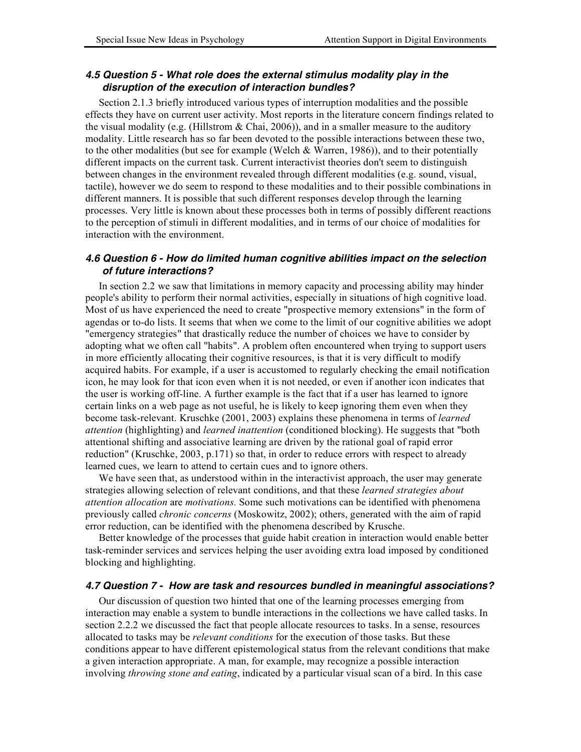# *4.5 Question 5 - What role does the external stimulus modality play in the disruption of the execution of interaction bundles?*

Section 2.1.3 briefly introduced various types of interruption modalities and the possible effects they have on current user activity. Most reports in the literature concern findings related to the visual modality (e.g. (Hillstrom & Chai, 2006)), and in a smaller measure to the auditory modality. Little research has so far been devoted to the possible interactions between these two, to the other modalities (but see for example (Welch & Warren, 1986)), and to their potentially different impacts on the current task. Current interactivist theories don't seem to distinguish between changes in the environment revealed through different modalities (e.g. sound, visual, tactile), however we do seem to respond to these modalities and to their possible combinations in different manners. It is possible that such different responses develop through the learning processes. Very little is known about these processes both in terms of possibly different reactions to the perception of stimuli in different modalities, and in terms of our choice of modalities for interaction with the environment.

#### *4.6 Question 6 - How do limited human cognitive abilities impact on the selection of future interactions?*

In section 2.2 we saw that limitations in memory capacity and processing ability may hinder people's ability to perform their normal activities, especially in situations of high cognitive load. Most of us have experienced the need to create "prospective memory extensions" in the form of agendas or to-do lists. It seems that when we come to the limit of our cognitive abilities we adopt "emergency strategies" that drastically reduce the number of choices we have to consider by adopting what we often call "habits". A problem often encountered when trying to support users in more efficiently allocating their cognitive resources, is that it is very difficult to modify acquired habits. For example, if a user is accustomed to regularly checking the email notification icon, he may look for that icon even when it is not needed, or even if another icon indicates that the user is working off-line. A further example is the fact that if a user has learned to ignore certain links on a web page as not useful, he is likely to keep ignoring them even when they become task-relevant. Kruschke (2001, 2003) explains these phenomena in terms of *learned attention* (highlighting) and *learned inattention* (conditioned blocking). He suggests that "both attentional shifting and associative learning are driven by the rational goal of rapid error reduction" (Kruschke, 2003, p.171) so that, in order to reduce errors with respect to already learned cues, we learn to attend to certain cues and to ignore others.

We have seen that, as understood within in the interactivist approach, the user may generate strategies allowing selection of relevant conditions, and that these *learned strategies about attention allocation* are *motivations.* Some such motivations can be identified with phenomena previously called *chronic concerns* (Moskowitz, 2002); others, generated with the aim of rapid error reduction, can be identified with the phenomena described by Krusche.

Better knowledge of the processes that guide habit creation in interaction would enable better task-reminder services and services helping the user avoiding extra load imposed by conditioned blocking and highlighting.

## *4.7 Question 7 - How are task and resources bundled in meaningful associations?*

Our discussion of question two hinted that one of the learning processes emerging from interaction may enable a system to bundle interactions in the collections we have called tasks. In section 2.2.2 we discussed the fact that people allocate resources to tasks. In a sense, resources allocated to tasks may be *relevant conditions* for the execution of those tasks. But these conditions appear to have different epistemological status from the relevant conditions that make a given interaction appropriate. A man, for example, may recognize a possible interaction involving *throwing stone and eating*, indicated by a particular visual scan of a bird. In this case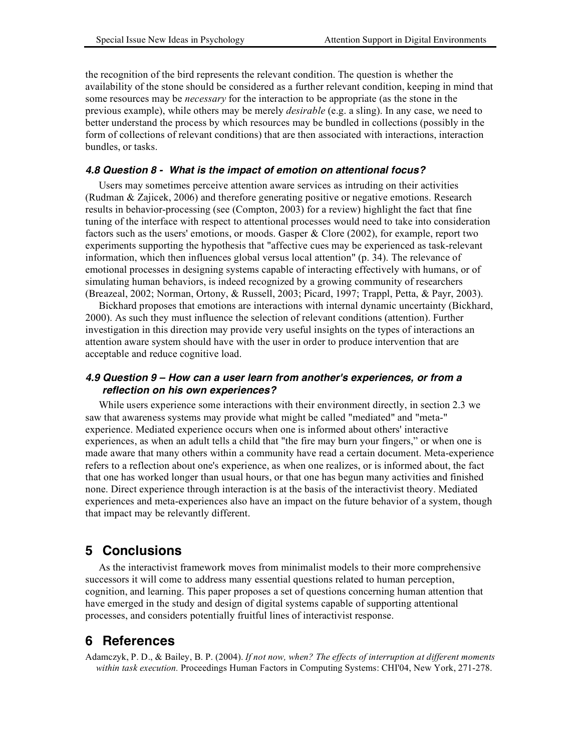the recognition of the bird represents the relevant condition. The question is whether the availability of the stone should be considered as a further relevant condition, keeping in mind that some resources may be *necessary* for the interaction to be appropriate (as the stone in the previous example), while others may be merely *desirable* (e.g. a sling). In any case, we need to better understand the process by which resources may be bundled in collections (possibly in the form of collections of relevant conditions) that are then associated with interactions, interaction bundles, or tasks.

#### *4.8 Question 8 - What is the impact of emotion on attentional focus?*

Users may sometimes perceive attention aware services as intruding on their activities (Rudman & Zajicek, 2006) and therefore generating positive or negative emotions. Research results in behavior-processing (see (Compton, 2003) for a review) highlight the fact that fine tuning of the interface with respect to attentional processes would need to take into consideration factors such as the users' emotions, or moods. Gasper & Clore (2002), for example, report two experiments supporting the hypothesis that "affective cues may be experienced as task-relevant information, which then influences global versus local attention" (p. 34). The relevance of emotional processes in designing systems capable of interacting effectively with humans, or of simulating human behaviors, is indeed recognized by a growing community of researchers (Breazeal, 2002; Norman, Ortony, & Russell, 2003; Picard, 1997; Trappl, Petta, & Payr, 2003).

Bickhard proposes that emotions are interactions with internal dynamic uncertainty (Bickhard, 2000). As such they must influence the selection of relevant conditions (attention). Further investigation in this direction may provide very useful insights on the types of interactions an attention aware system should have with the user in order to produce intervention that are acceptable and reduce cognitive load.

## *4.9 Question 9 – How can a user learn from another's experiences, or from a reflection on his own experiences?*

While users experience some interactions with their environment directly, in section 2.3 we saw that awareness systems may provide what might be called "mediated" and "meta-" experience. Mediated experience occurs when one is informed about others' interactive experiences, as when an adult tells a child that "the fire may burn your fingers," or when one is made aware that many others within a community have read a certain document. Meta-experience refers to a reflection about one's experience, as when one realizes, or is informed about, the fact that one has worked longer than usual hours, or that one has begun many activities and finished none. Direct experience through interaction is at the basis of the interactivist theory. Mediated experiences and meta-experiences also have an impact on the future behavior of a system, though that impact may be relevantly different.

# **5 Conclusions**

As the interactivist framework moves from minimalist models to their more comprehensive successors it will come to address many essential questions related to human perception, cognition, and learning. This paper proposes a set of questions concerning human attention that have emerged in the study and design of digital systems capable of supporting attentional processes, and considers potentially fruitful lines of interactivist response.

# **6 References**

Adamczyk, P. D., & Bailey, B. P. (2004). *If not now, when? The effects of interruption at different moments within task execution.* Proceedings Human Factors in Computing Systems: CHI'04, New York, 271-278.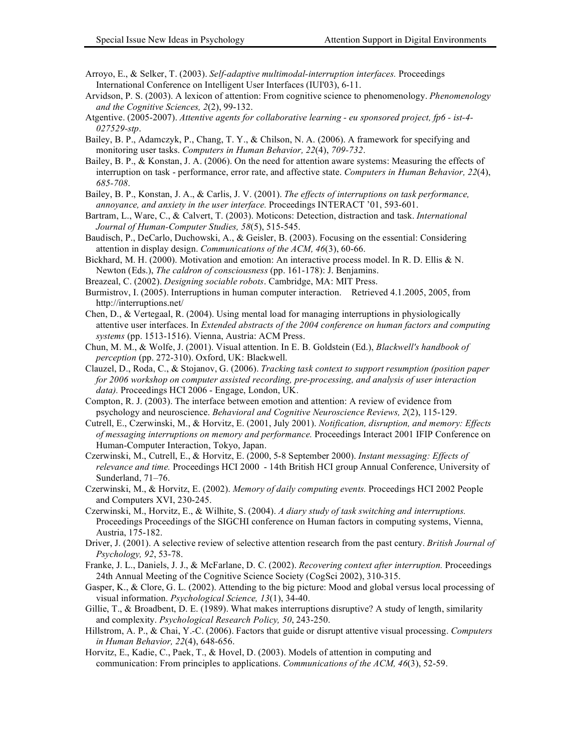- Arroyo, E., & Selker, T. (2003). *Self-adaptive multimodal-interruption interfaces.* Proceedings International Conference on Intelligent User Interfaces (IUI'03), 6-11.
- Arvidson, P. S. (2003). A lexicon of attention: From cognitive science to phenomenology. *Phenomenology and the Cognitive Sciences, 2*(2), 99-132.
- Atgentive. (2005-2007). *Attentive agents for collaborative learning eu sponsored project, fp6 ist-4- 027529-stp*.
- Bailey, B. P., Adamczyk, P., Chang, T. Y., & Chilson, N. A. (2006). A framework for specifying and monitoring user tasks. *Computers in Human Behavior, 22*(4), *709-732*.
- Bailey, B. P., & Konstan, J. A. (2006). On the need for attention aware systems: Measuring the effects of interruption on task - performance, error rate, and affective state. *Computers in Human Behavior, 22*(4), *685-708*.
- Bailey, B. P., Konstan, J. A., & Carlis, J. V. (2001). *The effects of interruptions on task performance, annoyance, and anxiety in the user interface.* Proceedings INTERACT '01, 593-601.
- Bartram, L., Ware, C., & Calvert, T. (2003). Moticons: Detection, distraction and task. *International Journal of Human-Computer Studies, 58*(5), 515-545.
- Baudisch, P., DeCarlo, Duchowski, A., & Geisler, B. (2003). Focusing on the essential: Considering attention in display design. *Communications of the ACM, 46*(3), 60-66.
- Bickhard, M. H. (2000). Motivation and emotion: An interactive process model. In R. D. Ellis & N. Newton (Eds.), *The caldron of consciousness* (pp. 161-178): J. Benjamins.
- Breazeal, C. (2002). *Designing sociable robots*. Cambridge, MA: MIT Press.
- Burmistrov, I. (2005). Interruptions in human computer interaction. Retrieved 4.1.2005, 2005, from http://interruptions.net/
- Chen, D., & Vertegaal, R. (2004). Using mental load for managing interruptions in physiologically attentive user interfaces. In *Extended abstracts of the 2004 conference on human factors and computing systems* (pp. 1513-1516). Vienna, Austria: ACM Press.
- Chun, M. M., & Wolfe, J. (2001). Visual attention. In E. B. Goldstein (Ed.), *Blackwell's handbook of perception* (pp. 272-310). Oxford, UK: Blackwell.
- Clauzel, D., Roda, C., & Stojanov, G. (2006). *Tracking task context to support resumption (position paper for 2006 workshop on computer assisted recording, pre-processing, and analysis of user interaction data).* Proceedings HCI 2006 - Engage, London, UK.
- Compton, R. J. (2003). The interface between emotion and attention: A review of evidence from psychology and neuroscience. *Behavioral and Cognitive Neuroscience Reviews, 2*(2), 115-129.
- Cutrell, E., Czerwinski, M., & Horvitz, E. (2001, July 2001). *Notification, disruption, and memory: Effects of messaging interruptions on memory and performance.* Proceedings Interact 2001 IFIP Conference on Human-Computer Interaction, Tokyo, Japan.
- Czerwinski, M., Cutrell, E., & Horvitz, E. (2000, 5-8 September 2000). *Instant messaging: Effects of relevance and time.* Proceedings HCI 2000 - 14th British HCI group Annual Conference, University of Sunderland, 71–76.
- Czerwinski, M., & Horvitz, E. (2002). *Memory of daily computing events.* Proceedings HCI 2002 People and Computers XVI, 230-245.
- Czerwinski, M., Horvitz, E., & Wilhite, S. (2004). *A diary study of task switching and interruptions.* Proceedings Proceedings of the SIGCHI conference on Human factors in computing systems, Vienna, Austria, 175-182.
- Driver, J. (2001). A selective review of selective attention research from the past century. *British Journal of Psychology, 92*, 53-78.
- Franke, J. L., Daniels, J. J., & McFarlane, D. C. (2002). *Recovering context after interruption.* Proceedings 24th Annual Meeting of the Cognitive Science Society (CogSci 2002), 310-315.
- Gasper, K., & Clore, G. L. (2002). Attending to the big picture: Mood and global versus local processing of visual information. *Psychological Science, 13*(1), 34-40.
- Gillie, T., & Broadbent, D. E. (1989). What makes interruptions disruptive? A study of length, similarity and complexity. *Psychological Research Policy, 50*, 243-250.
- Hillstrom, A. P., & Chai, Y.-C. (2006). Factors that guide or disrupt attentive visual processing. *Computers in Human Behavior, 22*(4), 648-656.
- Horvitz, E., Kadie, C., Paek, T., & Hovel, D. (2003). Models of attention in computing and communication: From principles to applications. *Communications of the ACM, 46*(3), 52-59.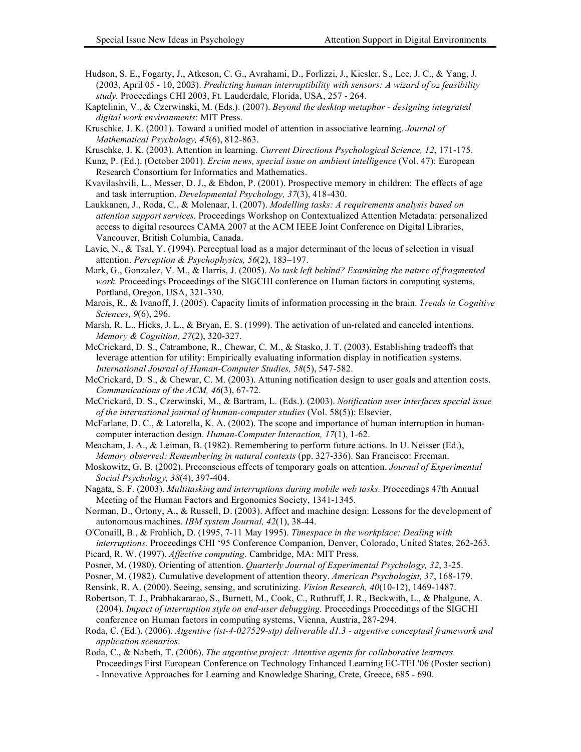- Hudson, S. E., Fogarty, J., Atkeson, C. G., Avrahami, D., Forlizzi, J., Kiesler, S., Lee, J. C., & Yang, J. (2003, April 05 - 10, 2003). *Predicting human interruptibility with sensors: A wizard of oz feasibility study.* Proceedings CHI 2003, Ft. Lauderdale, Florida, USA, 257 - 264.
- Kaptelinin, V., & Czerwinski, M. (Eds.). (2007). *Beyond the desktop metaphor designing integrated digital work environments*: MIT Press.
- Kruschke, J. K. (2001). Toward a unified model of attention in associative learning. *Journal of Mathematical Psychology, 45*(6), 812-863.
- Kruschke, J. K. (2003). Attention in learning. *Current Directions Psychological Science, 12*, 171-175.
- Kunz, P. (Ed.). (October 2001). *Ercim news, special issue on ambient intelligence* (Vol. 47): European Research Consortium for Informatics and Mathematics.
- Kvavilashvili, L., Messer, D. J., & Ebdon, P. (2001). Prospective memory in children: The effects of age and task interruption. *Developmental Psychology, 37*(3), 418-430.
- Laukkanen, J., Roda, C., & Molenaar, I. (2007). *Modelling tasks: A requirements analysis based on attention support services.* Proceedings Workshop on Contextualized Attention Metadata: personalized access to digital resources CAMA 2007 at the ACM IEEE Joint Conference on Digital Libraries, Vancouver, British Columbia, Canada.
- Lavie, N., & Tsal, Y. (1994). Perceptual load as a major determinant of the locus of selection in visual attention. *Perception & Psychophysics, 56*(2), 183–197.
- Mark, G., Gonzalez, V. M., & Harris, J. (2005). *No task left behind? Examining the nature of fragmented work.* Proceedings Proceedings of the SIGCHI conference on Human factors in computing systems, Portland, Oregon, USA, 321-330.
- Marois, R., & Ivanoff, J. (2005). Capacity limits of information processing in the brain. *Trends in Cognitive Sciences, 9*(6), 296.
- Marsh, R. L., Hicks, J. L., & Bryan, E. S. (1999). The activation of un-related and canceled intentions. *Memory & Cognition, 27*(2), 320-327.
- McCrickard, D. S., Catrambone, R., Chewar, C. M., & Stasko, J. T. (2003). Establishing tradeoffs that leverage attention for utility: Empirically evaluating information display in notification systems. *International Journal of Human-Computer Studies, 58*(5), 547-582.
- McCrickard, D. S., & Chewar, C. M. (2003). Attuning notification design to user goals and attention costs. *Communications of the ACM, 46*(3), 67-72.
- McCrickard, D. S., Czerwinski, M., & Bartram, L. (Eds.). (2003). *Notification user interfaces special issue of the international journal of human-computer studies* (Vol. 58(5)): Elsevier.
- McFarlane, D. C., & Latorella, K. A. (2002). The scope and importance of human interruption in humancomputer interaction design. *Human-Computer Interaction, 17*(1), 1-62.
- Meacham, J. A., & Leiman, B. (1982). Remembering to perform future actions. In U. Neisser (Ed.), *Memory observed: Remembering in natural contexts* (pp. 327-336). San Francisco: Freeman.
- Moskowitz, G. B. (2002). Preconscious effects of temporary goals on attention. *Journal of Experimental Social Psychology, 38*(4), 397-404.
- Nagata, S. F. (2003). *Multitasking and interruptions during mobile web tasks.* Proceedings 47th Annual Meeting of the Human Factors and Ergonomics Society, 1341-1345.
- Norman, D., Ortony, A., & Russell, D. (2003). Affect and machine design: Lessons for the development of autonomous machines. *IBM system Journal, 42*(1), 38-44.
- O'Conaill, B., & Frohlich, D. (1995, 7-11 May 1995). *Timespace in the workplace: Dealing with interruptions.* Proceedings CHI '95 Conference Companion, Denver, Colorado, United States, 262-263.
- Picard, R. W. (1997). *Affective computing*. Cambridge, MA: MIT Press.
- Posner, M. (1980). Orienting of attention. *Quarterly Journal of Experimental Psychology, 32*, 3-25.
- Posner, M. (1982). Cumulative development of attention theory. *American Psychologist, 37*, 168-179.
- Rensink, R. A. (2000). Seeing, sensing, and scrutinizing. *Vision Research, 40*(10-12), 1469-1487.
- Robertson, T. J., Prabhakararao, S., Burnett, M., Cook, C., Ruthruff, J. R., Beckwith, L., & Phalgune, A. (2004). *Impact of interruption style on end-user debugging.* Proceedings Proceedings of the SIGCHI conference on Human factors in computing systems, Vienna, Austria, 287-294.
- Roda, C. (Ed.). (2006). *Atgentive (ist-4-027529-stp) deliverable d1.3 atgentive conceptual framework and application scenarios*.
- Roda, C., & Nabeth, T. (2006). *The atgentive project: Attentive agents for collaborative learners.* Proceedings First European Conference on Technology Enhanced Learning EC-TEL'06 (Poster section) - Innovative Approaches for Learning and Knowledge Sharing, Crete, Greece, 685 - 690.